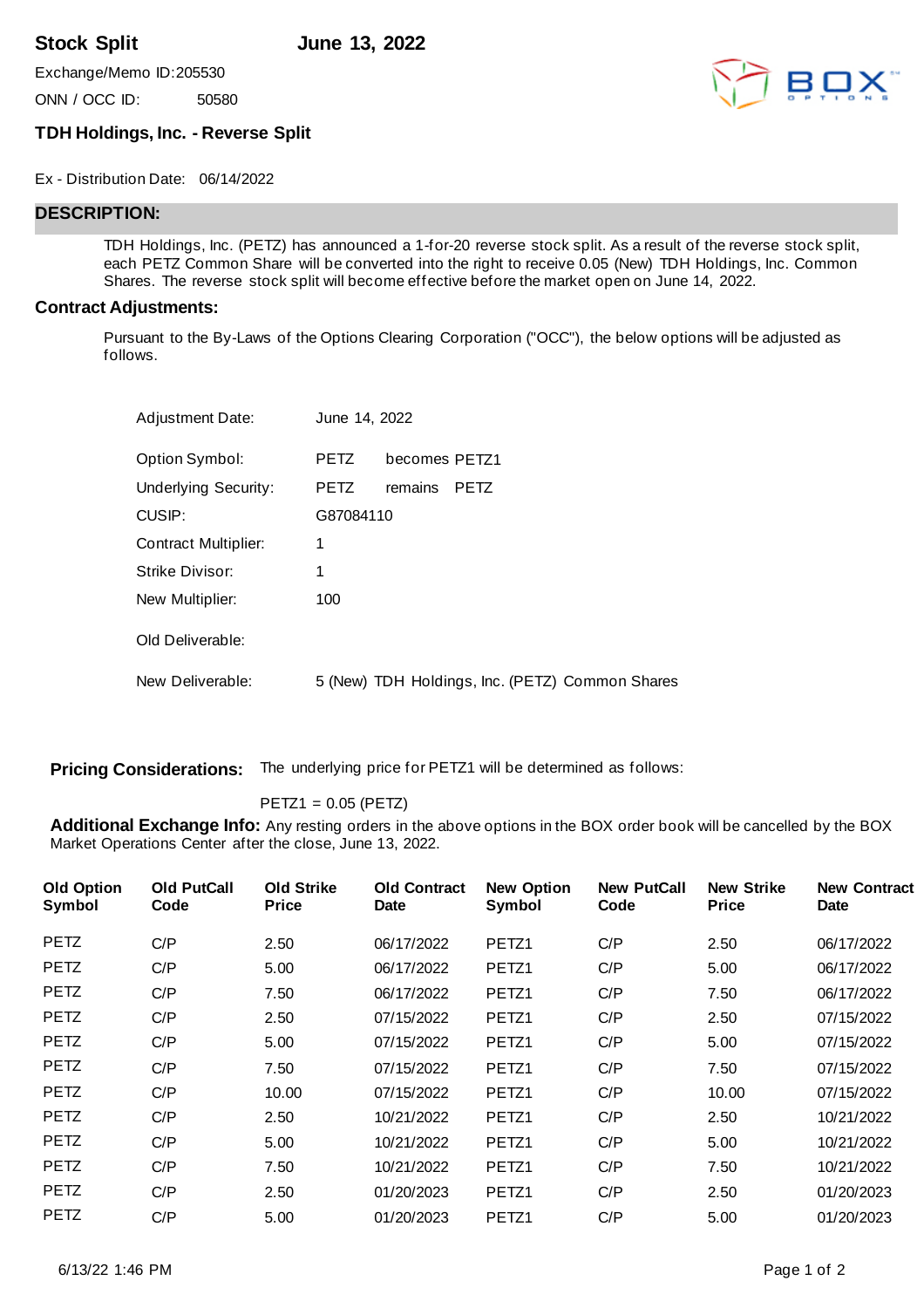**Stock Split June 13, 2022**

Exchange/Memo ID:205530

ONN / OCC ID: 50580



## **TDH Holdings, Inc. - Reverse Split**

Ex - Distribution Date: 06/14/2022

## **DESCRIPTION:**

TDH Holdings, Inc. (PETZ) has announced a 1-for-20 reverse stock split. As a result of the reverse stock split, each PETZ Common Share will be converted into the right to receive 0.05 (New) TDH Holdings, Inc. Common Shares. The reverse stock split will become effective before the market open on June 14, 2022.

## **Contract Adjustments:**

Pursuant to the By-Laws of the Options Clearing Corporation ("OCC"), the below options will be adjusted as follows.

| <b>Adjustment Date:</b> | June 14, 2022 |               |                                                 |  |
|-------------------------|---------------|---------------|-------------------------------------------------|--|
| Option Symbol:          | <b>PETZ</b>   | becomes PETZ1 |                                                 |  |
| Underlying Security:    | <b>PETZ</b>   | remains       | <b>PETZ</b>                                     |  |
| CUSIP:                  | G87084110     |               |                                                 |  |
| Contract Multiplier:    | 1             |               |                                                 |  |
| Strike Divisor:         | 1             |               |                                                 |  |
| New Multiplier:         | 100           |               |                                                 |  |
| Old Deliverable:        |               |               |                                                 |  |
| New Deliverable:        |               |               | 5 (New) TDH Holdings, Inc. (PETZ) Common Shares |  |

**Pricing Considerations:** The underlying price for PETZ1 will be determined as follows:

PETZ1 = 0.05 (PETZ)

**Additional Exchange Info:** Any resting orders in the above options in the BOX order book will be cancelled by the BOX Market Operations Center after the close, June 13, 2022.

| <b>Old Option</b><br>Symbol | <b>Old PutCall</b><br>Code | <b>Old Strike</b><br><b>Price</b> | <b>Old Contract</b><br><b>Date</b> | <b>New Option</b><br>Symbol | <b>New PutCall</b><br>Code | <b>New Strike</b><br><b>Price</b> | <b>New Contract</b><br>Date |
|-----------------------------|----------------------------|-----------------------------------|------------------------------------|-----------------------------|----------------------------|-----------------------------------|-----------------------------|
| <b>PETZ</b>                 | C/P                        | 2.50                              | 06/17/2022                         | PETZ1                       | C/P                        | 2.50                              | 06/17/2022                  |
| <b>PETZ</b>                 | C/P                        | 5.00                              | 06/17/2022                         | PETZ <sub>1</sub>           | C/P                        | 5.00                              | 06/17/2022                  |
| <b>PETZ</b>                 | C/P                        | 7.50                              | 06/17/2022                         | PETZ1                       | C/P                        | 7.50                              | 06/17/2022                  |
| <b>PETZ</b>                 | C/P                        | 2.50                              | 07/15/2022                         | PETZ <sub>1</sub>           | C/P                        | 2.50                              | 07/15/2022                  |
| <b>PETZ</b>                 | C/P                        | 5.00                              | 07/15/2022                         | PETZ1                       | C/P                        | 5.00                              | 07/15/2022                  |
| <b>PETZ</b>                 | C/P                        | 7.50                              | 07/15/2022                         | PETZ1                       | C/P                        | 7.50                              | 07/15/2022                  |
| <b>PETZ</b>                 | C/P                        | 10.00                             | 07/15/2022                         | PETZ1                       | C/P                        | 10.00                             | 07/15/2022                  |
| <b>PETZ</b>                 | C/P                        | 2.50                              | 10/21/2022                         | PETZ1                       | C/P                        | 2.50                              | 10/21/2022                  |
| <b>PETZ</b>                 | C/P                        | 5.00                              | 10/21/2022                         | PETZ <sub>1</sub>           | C/P                        | 5.00                              | 10/21/2022                  |
| <b>PETZ</b>                 | C/P                        | 7.50                              | 10/21/2022                         | PETZ1                       | C/P                        | 7.50                              | 10/21/2022                  |
| <b>PETZ</b>                 | C/P                        | 2.50                              | 01/20/2023                         | PETZ1                       | C/P                        | 2.50                              | 01/20/2023                  |
| <b>PETZ</b>                 | C/P                        | 5.00                              | 01/20/2023                         | PETZ1                       | C/P                        | 5.00                              | 01/20/2023                  |